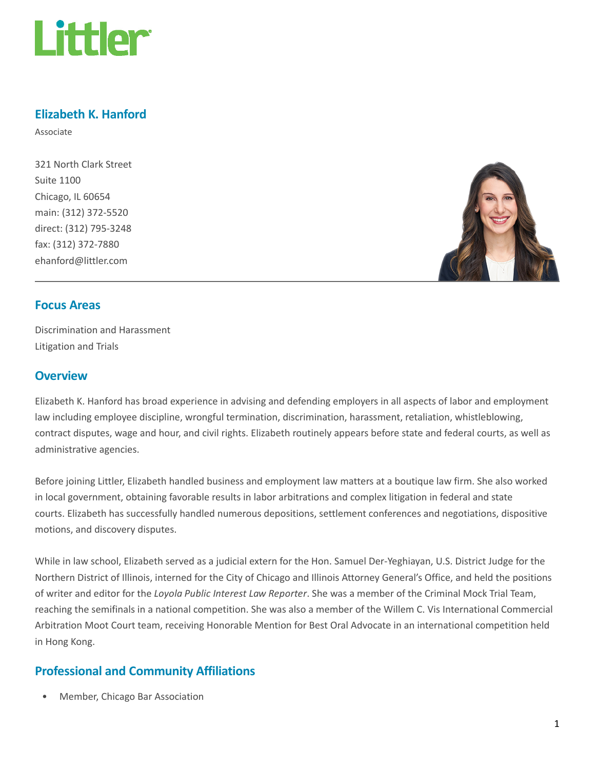

# Elizabeth K. Hanford

Associate

321 North Clark Street Suite 1100 Chicago, IL 60654 main: (312) 372-5520 direct: (312) 795-3248 fax: (312) 372-7880 ehanford@littler.com



#### Focus Areas

Discrimination and Harassment Litigation and Trials

#### **Overview**

Elizabeth K. Hanford has broad experience in advising and defending employers in all aspects of labor and employment law including employee discipline, wrongful termination, discrimination, harassment, retaliation, whistleblowing, contract disputes, wage and hour, and civil rights. Elizabeth routinely appears before state and federal courts, as well as administrative agencies.

Before joining Littler, Elizabeth handled business and employment law matters at a boutique law firm. She also worked in local government, obtaining favorable results in labor arbitrations and complex litigation in federal and state courts. Elizabeth has successfully handled numerous depositions, settlement conferences and negotiations, dispositive motions, and discovery disputes.

While in law school, Elizabeth served as a judicial extern for the Hon. Samuel Der-Yeghiayan, U.S. District Judge for the Northern District of Illinois, interned for the City of Chicago and Illinois Attorney General's Office, and held the positions of writer and editor for the Loyola Public Interest Law Reporter. She was a member of the Criminal Mock Trial Team, reaching the semifinals in a national competition. She was also a member of the Willem C. Vis International Commercial Arbitration Moot Court team, receiving Honorable Mention for Best Oral Advocate in an international competition held in Hong Kong.

## Professional and Community Affiliations

• Member, Chicago Bar Association